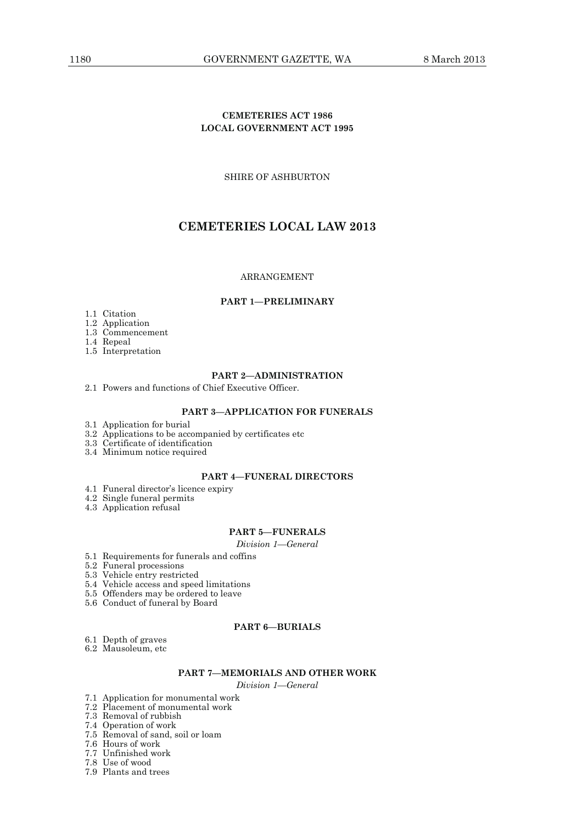# **CEMETERIES ACT 1986 LOCAL GOVERNMENT ACT 1995**

SHIRE OF ASHBURTON

# **CEMETERIES LOCAL LAW 2013**

# ARRANGEMENT

## **PART 1—PRELIMINARY**

- 1.1 Citation
- 1.2 Application
- 1.3 Commencement
- 1.4 Repeal
- 1.5 Interpretation

#### **PART 2—ADMINISTRATION**

2.1 Powers and functions of Chief Executive Officer.

# **PART 3—APPLICATION FOR FUNERALS**

- 3.1 Application for burial
- 3.2 Applications to be accompanied by certificates etc
- 3.3 Certificate of identification
- 3.4 Minimum notice required

# **PART 4—FUNERAL DIRECTORS**

- 4.1 Funeral director's licence expiry
- 4.2 Single funeral permits
- 4.3 Application refusal

# **PART 5—FUNERALS**

*Division 1—General* 

- 5.1 Requirements for funerals and coffins
- 5.2 Funeral processions
- 5.3 Vehicle entry restricted
	- 5.4 Vehicle access and speed limitations
	- 5.5 Offenders may be ordered to leave
	- 5.6 Conduct of funeral by Board

# **PART 6—BURIALS**

- 6.1 Depth of graves
- 6.2 Mausoleum, etc

# **PART 7—MEMORIALS AND OTHER WORK**

*Division 1—General* 

- 7.1 Application for monumental work
- 7.2 Placement of monumental work
- 7.3 Removal of rubbish
- 7.4 Operation of work
- 7.5 Removal of sand, soil or loam
- 7.6 Hours of work
- 7.7 Unfinished work
- 7.8 Use of wood
- 7.9 Plants and trees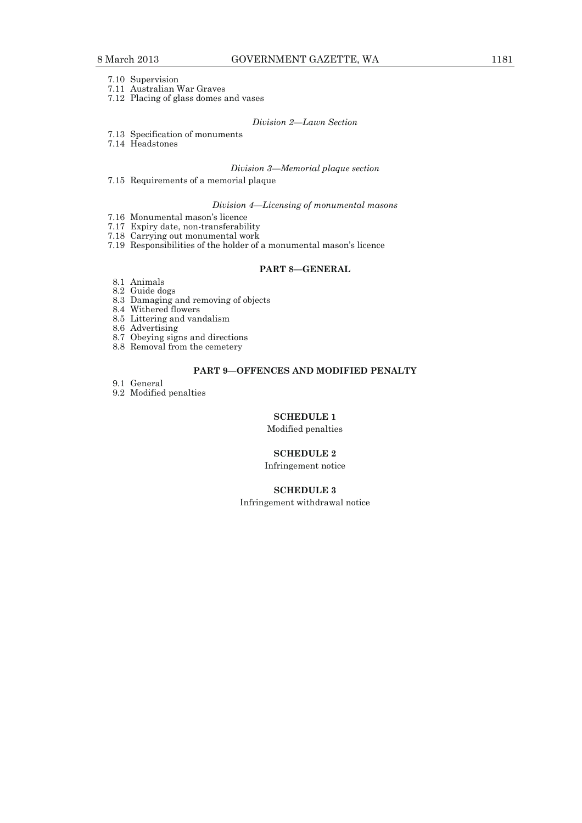- 7.10 Supervision
- 7.11 Australian War Graves
- 7.12 Placing of glass domes and vases

# *Division 2—Lawn Section*

- 7.13 Specification of monuments
- 7.14 Headstones

# *Division 3—Memorial plaque section*

7.15 Requirements of a memorial plaque

#### *Division 4—Licensing of monumental masons*

- 7.16 Monumental mason's licence
- 7.17 Expiry date, non-transferability
- 7.18 Carrying out monumental work
- 7.19 Responsibilities of the holder of a monumental mason's licence

#### **PART 8—GENERAL**

- 8.1 Animals 8.2 Guide dogs
- 8.3 Damaging and removing of objects
- 8.4 Withered flowers
- 8.5 Littering and vandalism

8.6 Advertising

- 8.7 Obeying signs and directions
- 8.8 Removal from the cemetery

# **PART 9—OFFENCES AND MODIFIED PENALTY**

9.1 General

9.2 Modified penalties

# **SCHEDULE 1**

Modified penalties

# **SCHEDULE 2**

Infringement notice

# **SCHEDULE 3**

Infringement withdrawal notice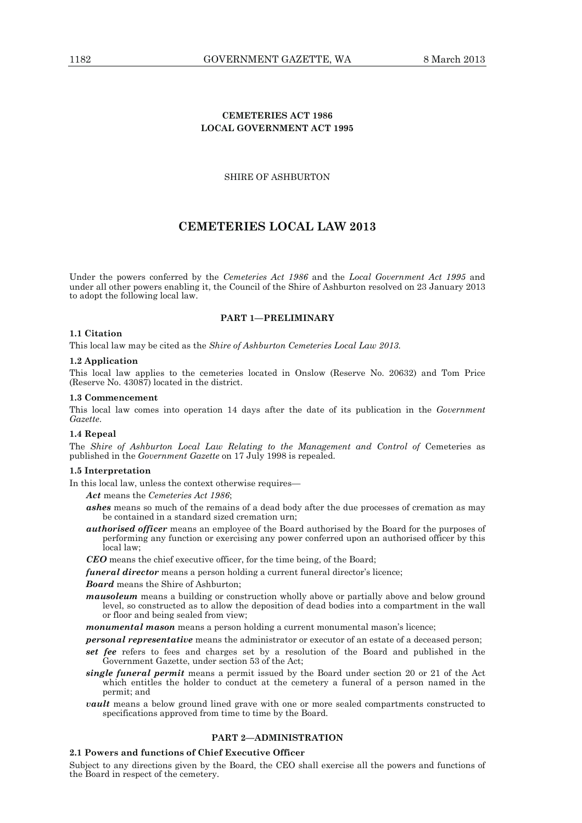# **CEMETERIES ACT 1986 LOCAL GOVERNMENT ACT 1995**

## SHIRE OF ASHBURTON

# **CEMETERIES LOCAL LAW 2013**

Under the powers conferred by the *Cemeteries Act 1986* and the *Local Government Act 1995* and under all other powers enabling it, the Council of the Shire of Ashburton resolved on 23 January 2013 to adopt the following local law.

#### **PART 1—PRELIMINARY**

#### **1.1 Citation**

This local law may be cited as the *Shire of Ashburton Cemeteries Local Law 2013.*

#### **1.2 Application**

This local law applies to the cemeteries located in Onslow (Reserve No. 20632) and Tom Price (Reserve No. 43087) located in the district.

#### **1.3 Commencement**

This local law comes into operation 14 days after the date of its publication in the *Government Gazette*.

#### **1.4 Repeal**

The *Shire of Ashburton Local Law Relating to the Management and Control of* Cemeteries as published in the *Government Gazette* on 17 July 1998 is repealed.

# **1.5 Interpretation**

In this local law, unless the context otherwise requires—

- *Act* means the *Cemeteries Act 1986*;
- *ashes* means so much of the remains of a dead body after the due processes of cremation as may be contained in a standard sized cremation urn;
- *authorised officer* means an employee of the Board authorised by the Board for the purposes of performing any function or exercising any power conferred upon an authorised officer by this local law;

*CEO* means the chief executive officer, for the time being, of the Board;

*funeral director* means a person holding a current funeral director's licence;

#### *Board* means the Shire of Ashburton;

- *mausoleum* means a building or construction wholly above or partially above and below ground level, so constructed as to allow the deposition of dead bodies into a compartment in the wall or floor and being sealed from view;
- *monumental mason* means a person holding a current monumental mason's licence;
- *personal representative* means the administrator or executor of an estate of a deceased person;
- *set fee* refers to fees and charges set by a resolution of the Board and published in the Government Gazette, under section 53 of the Act;
- *single funeral permit* means a permit issued by the Board under section 20 or 21 of the Act which entitles the holder to conduct at the cemetery a funeral of a person named in the permit; and
- *vault* means a below ground lined grave with one or more sealed compartments constructed to specifications approved from time to time by the Board.

#### **PART 2—ADMINISTRATION**

# **2.1 Powers and functions of Chief Executive Officer**

Subject to any directions given by the Board, the CEO shall exercise all the powers and functions of the Board in respect of the cemetery.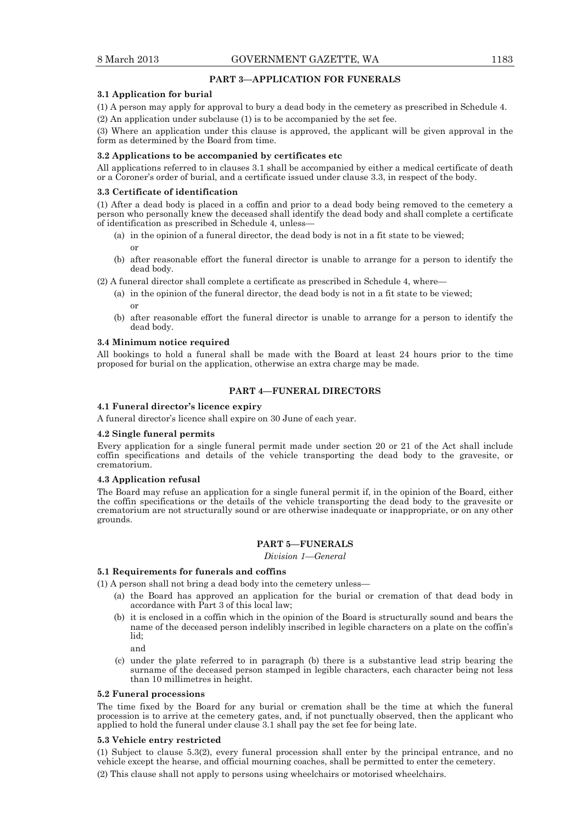# **PART 3—APPLICATION FOR FUNERALS**

#### **3.1 Application for burial**

(1) A person may apply for approval to bury a dead body in the cemetery as prescribed in Schedule 4. (2) An application under subclause (1) is to be accompanied by the set fee.

(3) Where an application under this clause is approved, the applicant will be given approval in the form as determined by the Board from time.

#### **3.2 Applications to be accompanied by certificates etc**

All applications referred to in clauses 3.1 shall be accompanied by either a medical certificate of death or a Coroner's order of burial, and a certificate issued under clause 3.3, in respect of the body.

#### **3.3 Certificate of identification**

(1) After a dead body is placed in a coffin and prior to a dead body being removed to the cemetery a person who personally knew the deceased shall identify the dead body and shall complete a certificate of identification as prescribed in Schedule 4, unless—

- (a) in the opinion of a funeral director, the dead body is not in a fit state to be viewed; or
- (b) after reasonable effort the funeral director is unable to arrange for a person to identify the dead body.

(2) A funeral director shall complete a certificate as prescribed in Schedule 4, where—

- (a) in the opinion of the funeral director, the dead body is not in a fit state to be viewed; or
	- (b) after reasonable effort the funeral director is unable to arrange for a person to identify the dead body.

#### **3.4 Minimum notice required**

All bookings to hold a funeral shall be made with the Board at least 24 hours prior to the time proposed for burial on the application, otherwise an extra charge may be made.

#### **PART 4—FUNERAL DIRECTORS**

### **4.1 Funeral director's licence expiry**

A funeral director's licence shall expire on 30 June of each year.

#### **4.2 Single funeral permits**

Every application for a single funeral permit made under section 20 or 21 of the Act shall include coffin specifications and details of the vehicle transporting the dead body to the gravesite, or crematorium.

#### **4.3 Application refusal**

The Board may refuse an application for a single funeral permit if, in the opinion of the Board, either the coffin specifications or the details of the vehicle transporting the dead body to the gravesite or crematorium are not structurally sound or are otherwise inadequate or inappropriate, or on any other grounds.

# **PART 5—FUNERALS**

*Division 1—General* 

# **5.1 Requirements for funerals and coffins**

(1) A person shall not bring a dead body into the cemetery unless—

- (a) the Board has approved an application for the burial or cremation of that dead body in accordance with Part 3 of this local law;
	- (b) it is enclosed in a coffin which in the opinion of the Board is structurally sound and bears the name of the deceased person indelibly inscribed in legible characters on a plate on the coffin's lid;

and

 (c) under the plate referred to in paragraph (b) there is a substantive lead strip bearing the surname of the deceased person stamped in legible characters, each character being not less than 10 millimetres in height.

#### **5.2 Funeral processions**

The time fixed by the Board for any burial or cremation shall be the time at which the funeral procession is to arrive at the cemetery gates, and, if not punctually observed, then the applicant who applied to hold the funeral under clause 3.1 shall pay the set fee for being late.

#### **5.3 Vehicle entry restricted**

(1) Subject to clause 5.3(2), every funeral procession shall enter by the principal entrance, and no vehicle except the hearse, and official mourning coaches, shall be permitted to enter the cemetery. (2) This clause shall not apply to persons using wheelchairs or motorised wheelchairs.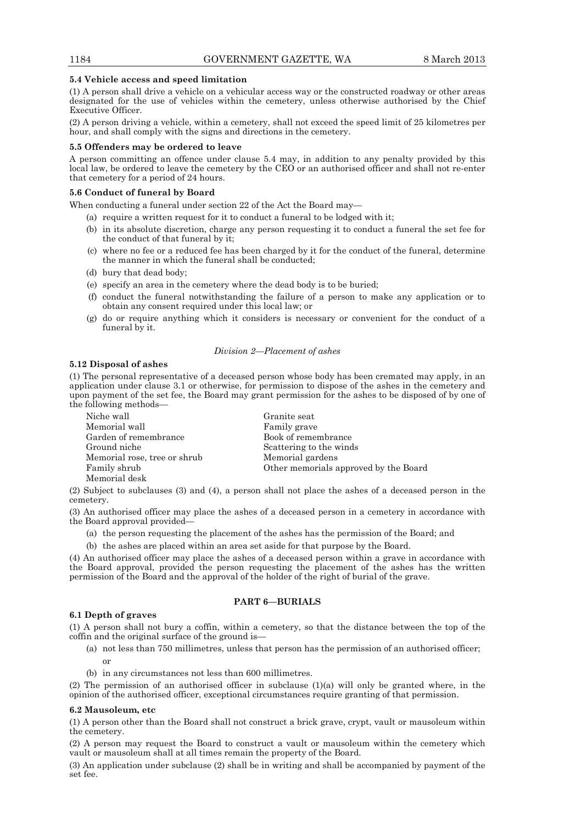#### **5.4 Vehicle access and speed limitation**

(1) A person shall drive a vehicle on a vehicular access way or the constructed roadway or other areas designated for the use of vehicles within the cemetery, unless otherwise authorised by the Chief Executive Officer.

(2) A person driving a vehicle, within a cemetery, shall not exceed the speed limit of 25 kilometres per hour, and shall comply with the signs and directions in the cemetery.

#### **5.5 Offenders may be ordered to leave**

A person committing an offence under clause 5.4 may, in addition to any penalty provided by this local law, be ordered to leave the cemetery by the CEO or an authorised officer and shall not re-enter that cemetery for a period of 24 hours.

### **5.6 Conduct of funeral by Board**

When conducting a funeral under section 22 of the Act the Board may—

- (a) require a written request for it to conduct a funeral to be lodged with it;
- (b) in its absolute discretion, charge any person requesting it to conduct a funeral the set fee for the conduct of that funeral by it;
- (c) where no fee or a reduced fee has been charged by it for the conduct of the funeral, determine the manner in which the funeral shall be conducted;
- (d) bury that dead body;
- (e) specify an area in the cemetery where the dead body is to be buried;
- (f) conduct the funeral notwithstanding the failure of a person to make any application or to obtain any consent required under this local law; or
- (g) do or require anything which it considers is necessary or convenient for the conduct of a funeral by it.

#### *Division 2—Placement of ashes*

#### **5.12 Disposal of ashes**

(1) The personal representative of a deceased person whose body has been cremated may apply, in an application under clause 3.1 or otherwise, for permission to dispose of the ashes in the cemetery and upon payment of the set fee, the Board may grant permission for the ashes to be disposed of by one of the following methods—

| Niche wall                   | Granite seat                          |
|------------------------------|---------------------------------------|
| Memorial wall                | Family grave                          |
| Garden of remembrance        | Book of remembrance                   |
| Ground niche                 | Scattering to the winds               |
| Memorial rose, tree or shrub | Memorial gardens                      |
| Family shrub                 | Other memorials approved by the Board |
| Memorial desk                |                                       |

(2) Subject to subclauses (3) and (4), a person shall not place the ashes of a deceased person in the cemetery.

(3) An authorised officer may place the ashes of a deceased person in a cemetery in accordance with the Board approval provided—

- (a) the person requesting the placement of the ashes has the permission of the Board; and
- (b) the ashes are placed within an area set aside for that purpose by the Board.

(4) An authorised officer may place the ashes of a deceased person within a grave in accordance with the Board approval, provided the person requesting the placement of the ashes has the written permission of the Board and the approval of the holder of the right of burial of the grave.

### **PART 6—BURIALS**

#### **6.1 Depth of graves**

(1) A person shall not bury a coffin, within a cemetery, so that the distance between the top of the coffin and the original surface of the ground is—

 (a) not less than 750 millimetres, unless that person has the permission of an authorised officer; or

(b) in any circumstances not less than 600 millimetres.

(2) The permission of an authorised officer in subclause (1)(a) will only be granted where, in the opinion of the authorised officer, exceptional circumstances require granting of that permission.

#### **6.2 Mausoleum, etc**

(1) A person other than the Board shall not construct a brick grave, crypt, vault or mausoleum within the cemetery.

(2) A person may request the Board to construct a vault or mausoleum within the cemetery which vault or mausoleum shall at all times remain the property of the Board.

(3) An application under subclause (2) shall be in writing and shall be accompanied by payment of the set fee.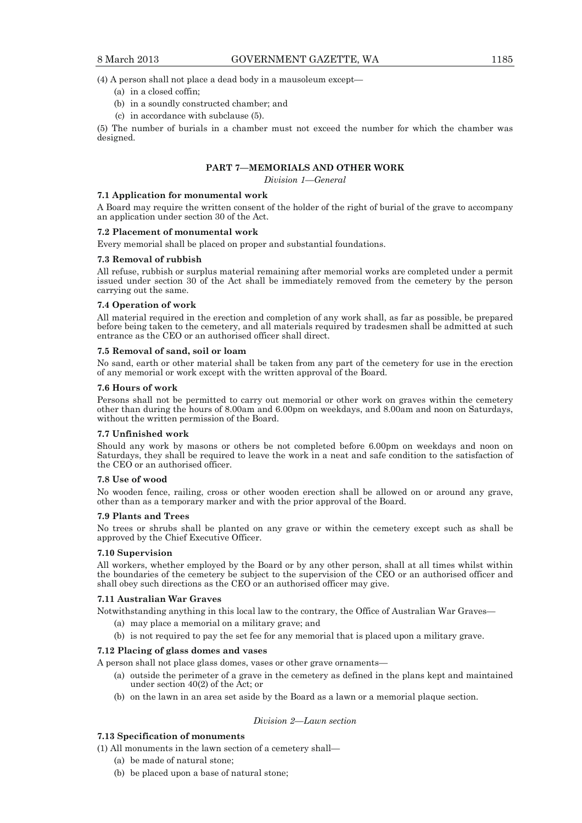(4) A person shall not place a dead body in a mausoleum except—

- (a) in a closed coffin;
- (b) in a soundly constructed chamber; and
- (c) in accordance with subclause (5).

(5) The number of burials in a chamber must not exceed the number for which the chamber was designed.

# **PART 7—MEMORIALS AND OTHER WORK**

*Division 1—General* 

#### **7.1 Application for monumental work**

A Board may require the written consent of the holder of the right of burial of the grave to accompany an application under section 30 of the Act.

#### **7.2 Placement of monumental work**

Every memorial shall be placed on proper and substantial foundations.

#### **7.3 Removal of rubbish**

All refuse, rubbish or surplus material remaining after memorial works are completed under a permit issued under section 30 of the Act shall be immediately removed from the cemetery by the person carrying out the same.

#### **7.4 Operation of work**

All material required in the erection and completion of any work shall, as far as possible, be prepared before being taken to the cemetery, and all materials required by tradesmen shall be admitted at such entrance as the CEO or an authorised officer shall direct.

#### **7.5 Removal of sand, soil or loam**

No sand, earth or other material shall be taken from any part of the cemetery for use in the erection of any memorial or work except with the written approval of the Board.

#### **7.6 Hours of work**

Persons shall not be permitted to carry out memorial or other work on graves within the cemetery other than during the hours of 8.00am and 6.00pm on weekdays, and 8.00am and noon on Saturdays, without the written permission of the Board.

#### **7.7 Unfinished work**

Should any work by masons or others be not completed before 6.00pm on weekdays and noon on Saturdays, they shall be required to leave the work in a neat and safe condition to the satisfaction of the CEO or an authorised officer.

#### **7.8 Use of wood**

No wooden fence, railing, cross or other wooden erection shall be allowed on or around any grave, other than as a temporary marker and with the prior approval of the Board.

#### **7.9 Plants and Trees**

No trees or shrubs shall be planted on any grave or within the cemetery except such as shall be approved by the Chief Executive Officer.

#### **7.10 Supervision**

All workers, whether employed by the Board or by any other person, shall at all times whilst within the boundaries of the cemetery be subject to the supervision of the CEO or an authorised officer and shall obey such directions as the CEO or an authorised officer may give.

#### **7.11 Australian War Graves**

Notwithstanding anything in this local law to the contrary, the Office of Australian War Graves—

- (a) may place a memorial on a military grave; and
- (b) is not required to pay the set fee for any memorial that is placed upon a military grave.

### **7.12 Placing of glass domes and vases**

- A person shall not place glass domes, vases or other grave ornaments—
	- (a) outside the perimeter of a grave in the cemetery as defined in the plans kept and maintained under section 40(2) of the Act; or
	- (b) on the lawn in an area set aside by the Board as a lawn or a memorial plaque section.

## *Division 2—Lawn section*

# **7.13 Specification of monuments**

- (1) All monuments in the lawn section of a cemetery shall—
	- (a) be made of natural stone;
	- (b) be placed upon a base of natural stone;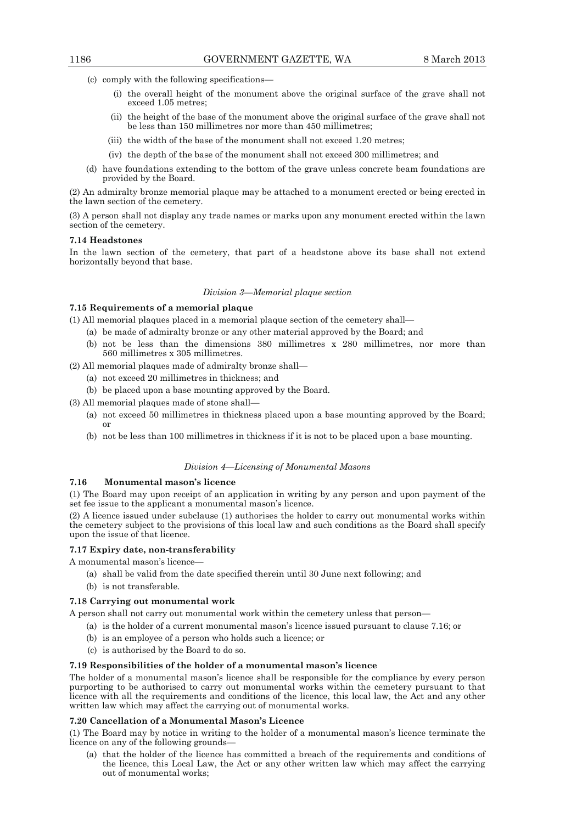- (c) comply with the following specifications—
	- (i) the overall height of the monument above the original surface of the grave shall not exceed 1.05 metres;
	- (ii) the height of the base of the monument above the original surface of the grave shall not be less than 150 millimetres nor more than 450 millimetres;
	- (iii) the width of the base of the monument shall not exceed 1.20 metres;
	- (iv) the depth of the base of the monument shall not exceed 300 millimetres; and
- (d) have foundations extending to the bottom of the grave unless concrete beam foundations are provided by the Board.

(2) An admiralty bronze memorial plaque may be attached to a monument erected or being erected in the lawn section of the cemetery.

(3) A person shall not display any trade names or marks upon any monument erected within the lawn section of the cemetery.

#### **7.14 Headstones**

In the lawn section of the cemetery, that part of a headstone above its base shall not extend horizontally beyond that base.

#### *Division 3—Memorial plaque section*

# **7.15 Requirements of a memorial plaque**

- (1) All memorial plaques placed in a memorial plaque section of the cemetery shall—
	- (a) be made of admiralty bronze or any other material approved by the Board; and
	- (b) not be less than the dimensions 380 millimetres x 280 millimetres, nor more than 560 millimetres x 305 millimetres.
- (2) All memorial plaques made of admiralty bronze shall—
	- (a) not exceed 20 millimetres in thickness; and
	- (b) be placed upon a base mounting approved by the Board.
- (3) All memorial plaques made of stone shall—
	- (a) not exceed 50 millimetres in thickness placed upon a base mounting approved by the Board; or
	- (b) not be less than 100 millimetres in thickness if it is not to be placed upon a base mounting.

#### *Division 4—Licensing of Monumental Masons*

#### **7.16 Monumental mason's licence**

(1) The Board may upon receipt of an application in writing by any person and upon payment of the set fee issue to the applicant a monumental mason's licence.

(2) A licence issued under subclause (1) authorises the holder to carry out monumental works within the cemetery subject to the provisions of this local law and such conditions as the Board shall specify upon the issue of that licence.

#### **7.17 Expiry date, non-transferability**

A monumental mason's licence—

- (a) shall be valid from the date specified therein until 30 June next following; and
- (b) is not transferable.

#### **7.18 Carrying out monumental work**

A person shall not carry out monumental work within the cemetery unless that person—

- (a) is the holder of a current monumental mason's licence issued pursuant to clause 7.16; or
- (b) is an employee of a person who holds such a licence; or
- (c) is authorised by the Board to do so.

#### **7.19 Responsibilities of the holder of a monumental mason's licence**

The holder of a monumental mason's licence shall be responsible for the compliance by every person purporting to be authorised to carry out monumental works within the cemetery pursuant to that licence with all the requirements and conditions of the licence, this local law, the Act and any other written law which may affect the carrying out of monumental works.

#### **7.20 Cancellation of a Monumental Mason's Licence**

(1) The Board may by notice in writing to the holder of a monumental mason's licence terminate the licence on any of the following grounds—

 (a) that the holder of the licence has committed a breach of the requirements and conditions of the licence, this Local Law, the Act or any other written law which may affect the carrying out of monumental works;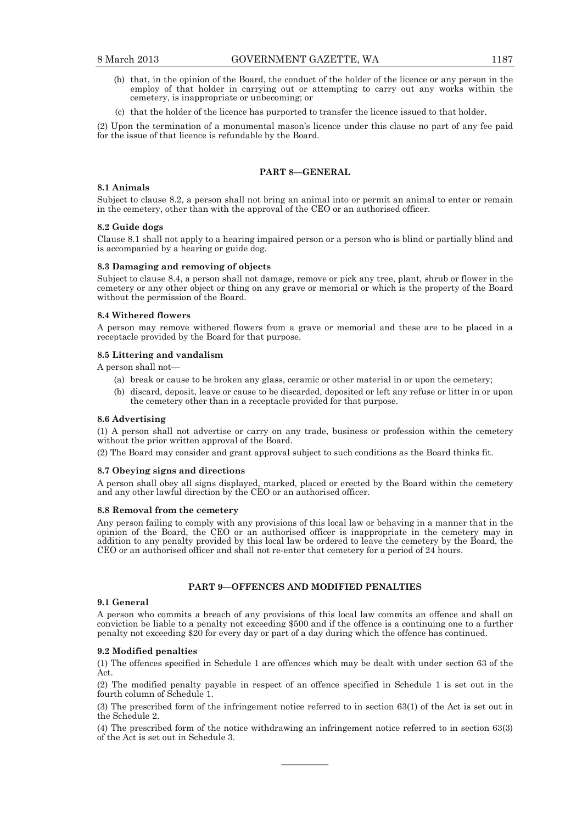- (b) that, in the opinion of the Board, the conduct of the holder of the licence or any person in the employ of that holder in carrying out or attempting to carry out any works within the cemetery, is inappropriate or unbecoming; or
- (c) that the holder of the licence has purported to transfer the licence issued to that holder.

(2) Upon the termination of a monumental mason's licence under this clause no part of any fee paid for the issue of that licence is refundable by the Board.

# **PART 8—GENERAL**

# **8.1 Animals**

Subject to clause 8.2, a person shall not bring an animal into or permit an animal to enter or remain in the cemetery, other than with the approval of the CEO or an authorised officer.

#### **8.2 Guide dogs**

Clause 8.1 shall not apply to a hearing impaired person or a person who is blind or partially blind and is accompanied by a hearing or guide dog.

#### **8.3 Damaging and removing of objects**

Subject to clause 8.4, a person shall not damage, remove or pick any tree, plant, shrub or flower in the cemetery or any other object or thing on any grave or memorial or which is the property of the Board without the permission of the Board.

#### **8.4 Withered flowers**

A person may remove withered flowers from a grave or memorial and these are to be placed in a receptacle provided by the Board for that purpose.

#### **8.5 Littering and vandalism**

A person shall not—

- (a) break or cause to be broken any glass, ceramic or other material in or upon the cemetery;
- (b) discard, deposit, leave or cause to be discarded, deposited or left any refuse or litter in or upon the cemetery other than in a receptacle provided for that purpose.

#### **8.6 Advertising**

(1) A person shall not advertise or carry on any trade, business or profession within the cemetery without the prior written approval of the Board.

(2) The Board may consider and grant approval subject to such conditions as the Board thinks fit.

#### **8.7 Obeying signs and directions**

A person shall obey all signs displayed, marked, placed or erected by the Board within the cemetery and any other lawful direction by the CEO or an authorised officer.

#### **8.8 Removal from the cemetery**

Any person failing to comply with any provisions of this local law or behaving in a manner that in the opinion of the Board, the CEO or an authorised officer is inappropriate in the cemetery may in addition to any penalty provided by this local law be ordered to leave the cemetery by the Board, the CEO or an authorised officer and shall not re-enter that cemetery for a period of 24 hours.

## **PART 9—OFFENCES AND MODIFIED PENALTIES**

### **9.1 General**

A person who commits a breach of any provisions of this local law commits an offence and shall on conviction be liable to a penalty not exceeding \$500 and if the offence is a continuing one to a further penalty not exceeding \$20 for every day or part of a day during which the offence has continued.

#### **9.2 Modified penalties**

(1) The offences specified in Schedule 1 are offences which may be dealt with under section 63 of the Act.

(2) The modified penalty payable in respect of an offence specified in Schedule 1 is set out in the fourth column of Schedule 1.

(3) The prescribed form of the infringement notice referred to in section 63(1) of the Act is set out in the Schedule 2.

(4) The prescribed form of the notice withdrawing an infringement notice referred to in section 63(3) of the Act is set out in Schedule 3.

————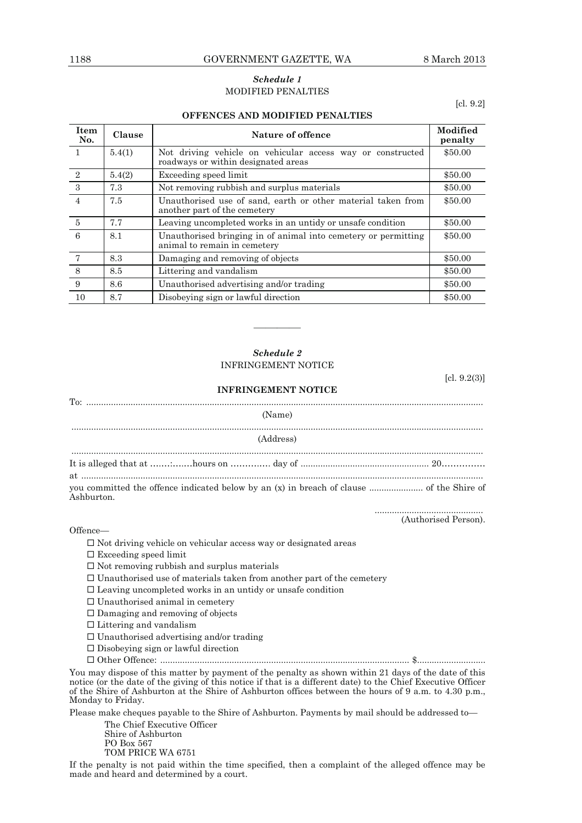# *Schedule 1*  MODIFIED PENALTIES

#### **OFFENCES AND MODIFIED PENALTIES**

[cl. 9.2]

| Item<br>No.    | Clause | Nature of offence                                                                                 | Modified<br>penalty |
|----------------|--------|---------------------------------------------------------------------------------------------------|---------------------|
|                | 5.4(1) | Not driving vehicle on vehicular access way or constructed<br>roadways or within designated areas | \$50.00             |
| 2              | 5.4(2) | Exceeding speed limit                                                                             | \$50.00             |
| -3             | 7.3    | Not removing rubbish and surplus materials                                                        | \$50.00             |
| $\overline{4}$ | 7.5    | Unauthorised use of sand, earth or other material taken from<br>another part of the cemetery      | \$50.00             |
| $\overline{5}$ | 7.7    | Leaving uncompleted works in an untidy or unsafe condition                                        | \$50.00             |
| 6              | 8.1    | Unauthorised bringing in of animal into cemetery or permitting<br>animal to remain in cemetery    | \$50.00             |
|                | 8.3    | Damaging and removing of objects                                                                  | \$50.00             |
| 8              | 8.5    | Littering and vandalism                                                                           | \$50.00             |
| 9              | 8.6    | Unauthorised advertising and/or trading                                                           | \$50.00             |
| 10             | 8.7    | Disobeying sign or lawful direction                                                               | \$50.00             |

# *Schedule 2*  INFRINGEMENT NOTICE

**INFRINGEMENT NOTICE** 

————

[cl. 9.2(3)]

# To: ................................................................................................................................................................. (Name) ....................................................................................................................................................................... (Address) ....................................................................................................................................................................... It is alleged that at ……………hours on …………… day of …………………………………………………………………………………… at ................................................................................................................................................................... you committed the offence indicated below by an (x) in breach of clause ...................... of the Shire of Ashburton. ............................................

(Authorised Person).

#### Offence—

 $\Box$  Not driving vehicle on vehicular access way or designated areas

- $\square$  Exceeding speed limit
- $\square$  Not removing rubbish and surplus materials
- $\square$  Unauthorised use of materials taken from another part of the cemetery
- $\Box$  Leaving uncompleted works in an untidy or unsafe condition
- $\square$  Unauthorised animal in cemetery
- $\Box$  Damaging and removing of objects

 $\square$  Littering and vandalism

- $\Box$  Unauthorised advertising and/or trading
- $\square$  Disobeying sign or lawful direction
- Other Offence: ..................................................................................................... \$............................

You may dispose of this matter by payment of the penalty as shown within 21 days of the date of this notice (or the date of the giving of this notice if that is a different date) to the Chief Executive Officer of the Shire of Ashburton at the Shire of Ashburton offices between the hours of 9 a.m. to 4.30 p.m., Monday to Friday.

Please make cheques payable to the Shire of Ashburton. Payments by mail should be addressed to—

 The Chief Executive Officer Shire of Ashburton PO Box 567 TOM PRICE WA 6751

If the penalty is not paid within the time specified, then a complaint of the alleged offence may be made and heard and determined by a court.